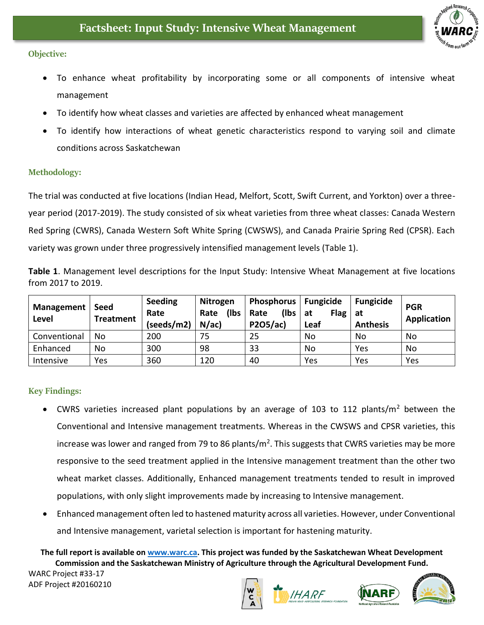

## **Objective:**

- To enhance wheat profitability by incorporating some or all components of intensive wheat management
- To identify how wheat classes and varieties are affected by enhanced wheat management
- To identify how interactions of wheat genetic characteristics respond to varying soil and climate conditions across Saskatchewan

## **Methodology:**

The trial was conducted at five locations (Indian Head, Melfort, Scott, Swift Current, and Yorkton) over a threeyear period (2017-2019). The study consisted of six wheat varieties from three wheat classes: Canada Western Red Spring (CWRS), Canada Western Soft White Spring (CWSWS), and Canada Prairie Spring Red (CPSR). Each variety was grown under three progressively intensified management levels (Table 1).

**Table 1**. Management level descriptions for the Input Study: Intensive Wheat Management at five locations from 2017 to 2019.

| Management<br>Level | Seed<br><b>Treatment</b> | <b>Seeding</b><br>Rate<br>(seeds/m2) | Nitrogen<br>(lbs<br>Rate<br>N/ac | Phosphorus   Fungicide<br>(lbs   at<br>Rate<br>P2O5/ac) | <b>Flag</b><br>Leaf | <b>Fungicide</b><br>at<br><b>Anthesis</b> | <b>PGR</b><br>Application |
|---------------------|--------------------------|--------------------------------------|----------------------------------|---------------------------------------------------------|---------------------|-------------------------------------------|---------------------------|
| Conventional        | No                       | 200                                  | 75                               | 25                                                      | No                  | No                                        | No                        |
| Enhanced            | No                       | 300                                  | 98                               | 33                                                      | No                  | Yes                                       | No                        |
| Intensive           | Yes                      | 360                                  | 120                              | 40                                                      | Yes                 | Yes                                       | Yes                       |

## **Key Findings:**

- CWRS varieties increased plant populations by an average of 103 to 112 plants/ $m<sup>2</sup>$  between the Conventional and Intensive management treatments. Whereas in the CWSWS and CPSR varieties, this increase was lower and ranged from 79 to 86 plants/m<sup>2</sup>. This suggests that CWRS varieties may be more responsive to the seed treatment applied in the Intensive management treatment than the other two wheat market classes. Additionally, Enhanced management treatments tended to result in improved populations, with only slight improvements made by increasing to Intensive management.
- Enhanced management often led to hastened maturity across all varieties. However, under Conventional and Intensive management, varietal selection is important for hastening maturity.

**The full report is available on [www.warc.ca.](http://www.warc.ca/) This project was funded by the Saskatchewan Wheat Development Commission and the Saskatchewan Ministry of Agriculture through the Agricultural Development Fund.**

WARC Project #33-17 ADF Project #20160210